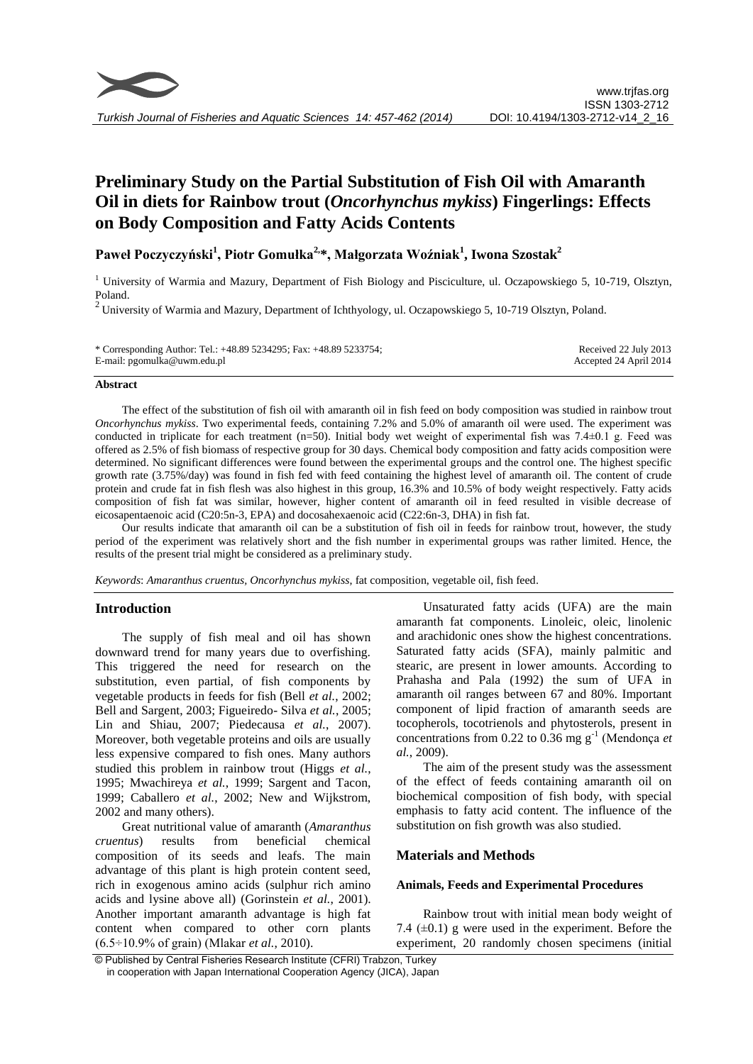

# **Preliminary Study on the Partial Substitution of Fish Oil with Amaranth Oil in diets for Rainbow trout (***Oncorhynchus mykiss***) Fingerlings: Effects on Body Composition and Fatty Acids Contents**

**Paweł Poczyczyński<sup>1</sup> , Piotr Gomułka2,\*, Małgorzata Woźniak<sup>1</sup> , Iwona Szostak<sup>2</sup>**

<sup>1</sup> University of Warmia and Mazury, Department of Fish Biology and Pisciculture, ul. Oczapowskiego 5, 10-719, Olsztyn, Poland.

<sup>2</sup> University of Warmia and Mazury, Department of Ichthyology, ul. Oczapowskiego 5, 10-719 Olsztyn, Poland.

| * Corresponding Author: Tel.: +48.89 5234295; Fax: +48.89 5233754; | Received 22 July 2013  |
|--------------------------------------------------------------------|------------------------|
| E-mail: pgomulka@uwm.edu.pl                                        | Accepted 24 April 2014 |

#### **Abstract**

The effect of the substitution of fish oil with amaranth oil in fish feed on body composition was studied in rainbow trout *Oncorhynchus mykiss*. Two experimental feeds, containing 7.2% and 5.0% of amaranth oil were used. The experiment was conducted in triplicate for each treatment (n=50). Initial body wet weight of experimental fish was  $7.4\pm0.1$  g. Feed was offered as 2.5% of fish biomass of respective group for 30 days. Chemical body composition and fatty acids composition were determined. No significant differences were found between the experimental groups and the control one. The highest specific growth rate (3.75%/day) was found in fish fed with feed containing the highest level of amaranth oil. The content of crude protein and crude fat in fish flesh was also highest in this group, 16.3% and 10.5% of body weight respectively. Fatty acids composition of fish fat was similar, however, higher content of amaranth oil in feed resulted in visible decrease of eicosapentaenoic acid (C20:5n-3, EPA) and docosahexaenoic acid (C22:6n-3, DHA) in fish fat.

Our results indicate that amaranth oil can be a substitution of fish oil in feeds for rainbow trout, however, the study period of the experiment was relatively short and the fish number in experimental groups was rather limited. Hence, the results of the present trial might be considered as a preliminary study.

*Keywords*: *Amaranthus cruentus, Oncorhynchus mykiss*, fat composition, vegetable oil, fish feed.

#### **Introduction**

The supply of fish meal and oil has shown downward trend for many years due to overfishing. This triggered the need for research on the substitution, even partial, of fish components by vegetable products in feeds for fish (Bell *et al.*, 2002; Bell and Sargent, 2003; Figueiredo- Silva *et al.*, 2005; Lin and Shiau, 2007; Piedecausa *et al.*, 2007). Moreover, both vegetable proteins and oils are usually less expensive compared to fish ones. Many authors studied this problem in rainbow trout (Higgs *et al.*, 1995; Mwachireya *et al.*, 1999; Sargent and Tacon, 1999; Caballero *et al.*, 2002; New and Wijkstrom, 2002 and many others).

Great nutritional value of amaranth (*Amaranthus cruentus*) results from beneficial chemical composition of its seeds and leafs. The main advantage of this plant is high protein content seed, rich in exogenous amino acids (sulphur rich amino acids and lysine above all) (Gorinstein *et al.*, 2001). Another important amaranth advantage is high fat content when compared to other corn plants (6.5÷10.9% of grain) (Mlakar *et al.*, 2010).

Unsaturated fatty acids (UFA) are the main amaranth fat components. Linoleic, oleic, linolenic and arachidonic ones show the highest concentrations. Saturated fatty acids (SFA), mainly palmitic and stearic, are present in lower amounts. According to Prahasha and Pala (1992) the sum of UFA in amaranth oil ranges between 67 and 80%. Important component of lipid fraction of amaranth seeds are tocopherols, tocotrienols and phytosterols, present in concentrations from  $0.22$  to  $0.36$  mg  $g^{-1}$  (Mendonça *et al.*, 2009).

The aim of the present study was the assessment of the effect of feeds containing amaranth oil on biochemical composition of fish body, with special emphasis to fatty acid content. The influence of the substitution on fish growth was also studied.

# **Materials and Methods**

#### **Animals, Feeds and Experimental Procedures**

Rainbow trout with initial mean body weight of 7.4  $(\pm 0.1)$  g were used in the experiment. Before the experiment, 20 randomly chosen specimens (initial

<sup>©</sup> Published by Central Fisheries Research Institute (CFRI) Trabzon, Turkey in cooperation with Japan International Cooperation Agency (JICA), Japan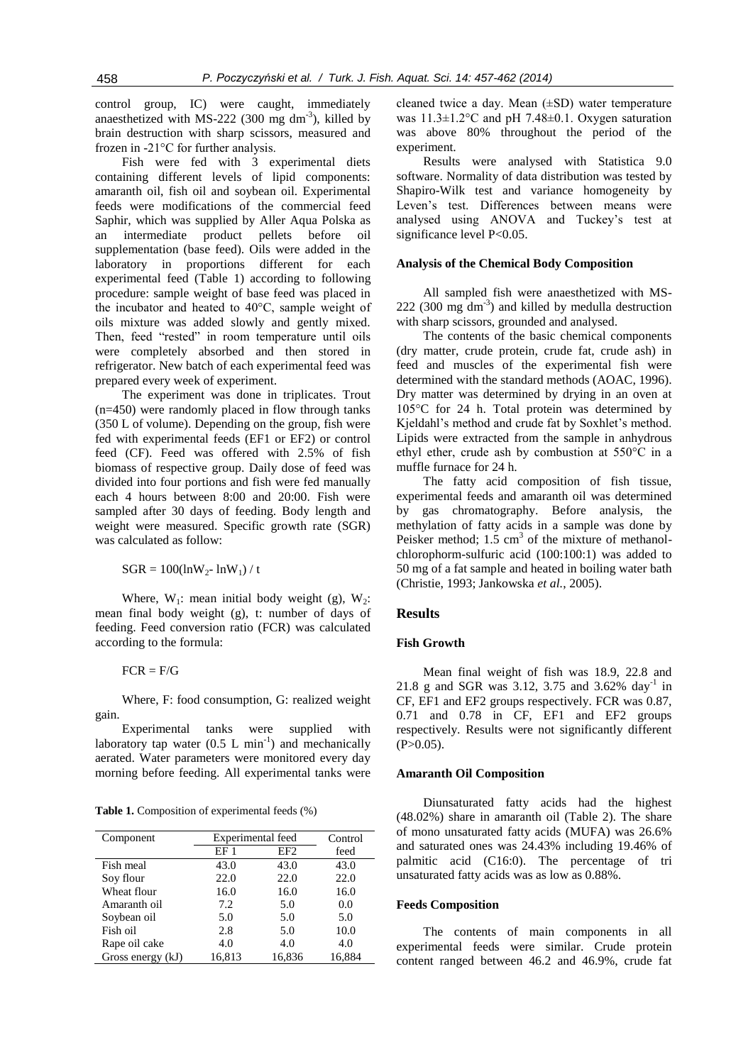control group, IC) were caught, immediately anaesthetized with MS-222 (300 mg dm<sup>-3</sup>), killed by brain destruction with sharp scissors, measured and frozen in -21°C for further analysis.

Fish were fed with 3 experimental diets containing different levels of lipid components: amaranth oil, fish oil and soybean oil. Experimental feeds were modifications of the commercial feed Saphir, which was supplied by Aller Aqua Polska as an intermediate product pellets before oil supplementation (base feed). Oils were added in the laboratory in proportions different for each experimental feed (Table 1) according to following procedure: sample weight of base feed was placed in the incubator and heated to 40°C, sample weight of oils mixture was added slowly and gently mixed. Then, feed "rested" in room temperature until oils were completely absorbed and then stored in refrigerator. New batch of each experimental feed was prepared every week of experiment.

The experiment was done in triplicates. Trout (n=450) were randomly placed in flow through tanks (350 L of volume). Depending on the group, fish were fed with experimental feeds (EF1 or EF2) or control feed (CF). Feed was offered with 2.5% of fish biomass of respective group. Daily dose of feed was divided into four portions and fish were fed manually each 4 hours between 8:00 and 20:00. Fish were sampled after 30 days of feeding. Body length and weight were measured. Specific growth rate (SGR) was calculated as follow:

$$
SGR=100(lnW_2\text{-} lnW_1)\mathbin{/}t
$$

Where,  $W_1$ : mean initial body weight (g),  $W_2$ : mean final body weight (g), t: number of days of feeding. Feed conversion ratio (FCR) was calculated according to the formula:

#### $FCR = F/G$

Where, F: food consumption, G: realized weight gain.

Experimental tanks were supplied with laboratory tap water  $(0.5 \text{ L min}^{-1})$  and mechanically aerated. Water parameters were monitored every day morning before feeding. All experimental tanks were

**Table 1.** Composition of experimental feeds (%)

| Component         | Experimental feed |                 | Control |
|-------------------|-------------------|-----------------|---------|
|                   | EF <sub>1</sub>   | EF <sub>2</sub> | feed    |
| Fish meal         | 43.0              | 43.0            | 43.0    |
| Soy flour         | 22.0              | 22.0            | 22.0    |
| Wheat flour       | 16.0              | 16.0            | 16.0    |
| Amaranth oil      | 7.2               | 5.0             | 0.0     |
| Soybean oil       | 5.0               | 5.0             | 5.0     |
| Fish oil          | 2.8               | 5.0             | 10.0    |
| Rape oil cake     | 4.0               | 4.0             | 4.0     |
| Gross energy (kJ) | 16,813            | 16,836          | 16,884  |

cleaned twice a day. Mean (±SD) water temperature was 11.3±1.2°C and pH 7.48±0.1. Oxygen saturation was above 80% throughout the period of the experiment.

Results were analysed with Statistica 9.0 software. Normality of data distribution was tested by Shapiro-Wilk test and variance homogeneity by Leven's test. Differences between means were analysed using ANOVA and Tuckey's test at significance level P<0.05.

## **Analysis of the Chemical Body Composition**

All sampled fish were anaesthetized with MS- $222$  (300 mg dm<sup>-3</sup>) and killed by medulla destruction with sharp scissors, grounded and analysed.

The contents of the basic chemical components (dry matter, crude protein, crude fat, crude ash) in feed and muscles of the experimental fish were determined with the standard methods (AOAC, 1996). Dry matter was determined by drying in an oven at 105°C for 24 h. Total protein was determined by Kjeldahl's method and crude fat by Soxhlet's method. Lipids were extracted from the sample in anhydrous ethyl ether, crude ash by combustion at 550°C in a muffle furnace for 24 h.

The fatty acid composition of fish tissue, experimental feeds and amaranth oil was determined by gas chromatography. Before analysis, the methylation of fatty acids in a sample was done by Peisker method;  $1.5 \text{ cm}^3$  of the mixture of methanolchlorophorm-sulfuric acid (100:100:1) was added to 50 mg of a fat sample and heated in boiling water bath (Christie, 1993; Jankowska *et al.*, 2005).

# **Results**

## **Fish Growth**

Mean final weight of fish was 18.9, 22.8 and 21.8 g and SGR was 3.12, 3.75 and 3.62% day<sup>-1</sup> in CF, EF1 and EF2 groups respectively. FCR was 0.87, 0.71 and 0.78 in CF, EF1 and EF2 groups respectively. Results were not significantly different  $(P>0.05)$ .

#### **Amaranth Oil Composition**

Diunsaturated fatty acids had the highest (48.02%) share in amaranth oil (Table 2). The share of mono unsaturated fatty acids (MUFA) was 26.6% and saturated ones was 24.43% including 19.46% of palmitic acid (C16:0). The percentage of tri unsaturated fatty acids was as low as 0.88%.

## **Feeds Composition**

The contents of main components in all experimental feeds were similar. Crude protein content ranged between 46.2 and 46.9%, crude fat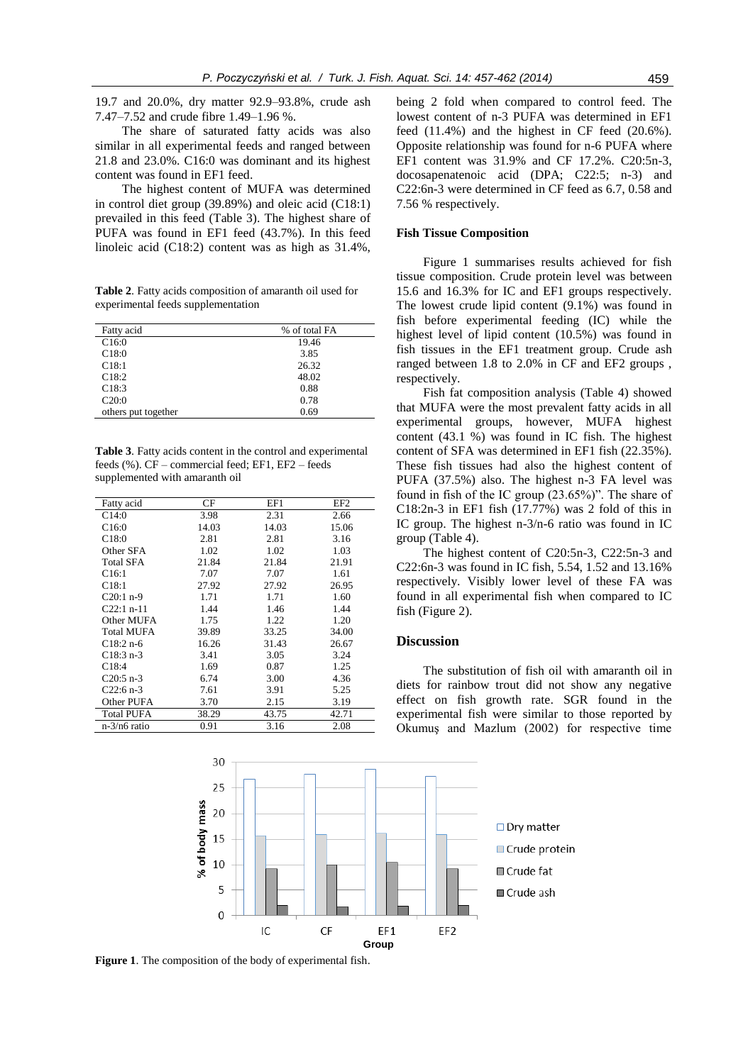19.7 and 20.0%, dry matter 92.9–93.8%, crude ash 7.47–7.52 and crude fibre 1.49–1.96 %.

The share of saturated fatty acids was also similar in all experimental feeds and ranged between 21.8 and 23.0%. C16:0 was dominant and its highest content was found in EF1 feed.

The highest content of MUFA was determined in control diet group (39.89%) and oleic acid (C18:1) prevailed in this feed (Table 3). The highest share of PUFA was found in EF1 feed (43.7%). In this feed linoleic acid (C18:2) content was as high as 31.4%,

**Table 2**. Fatty acids composition of amaranth oil used for experimental feeds supplementation

| Fatty acid          | % of total FA |
|---------------------|---------------|
| C16:0               | 19.46         |
| C18:0               | 3.85          |
| C18:1               | 26.32         |
| C18:2               | 48.02         |
| C18:3               | 0.88          |
| C20:0               | 0.78          |
| others put together | 0.69          |

**Table 3**. Fatty acids content in the control and experimental feeds (%). CF – commercial feed; EF1, EF2 – feeds supplemented with amaranth oil

| Fatty acid        | CF    | EF1   | EF <sub>2</sub> |
|-------------------|-------|-------|-----------------|
| C14:0             | 3.98  | 2.31  | 2.66            |
| C16:0             | 14.03 | 14.03 | 15.06           |
| C18:0             | 2.81  | 2.81  | 3.16            |
| Other SFA         | 1.02  | 1.02  | 1.03            |
| <b>Total SFA</b>  | 21.84 | 21.84 | 21.91           |
| C16:1             | 7.07  | 7.07  | 1.61            |
| C18:1             | 27.92 | 27.92 | 26.95           |
| $C20:1 n-9$       | 1.71  | 1.71  | 1.60            |
| $C22:1 n-11$      | 1.44  | 1.46  | 1.44            |
| Other MUFA        | 1.75  | 1.22  | 1.20            |
| <b>Total MUFA</b> | 39.89 | 33.25 | 34.00           |
| $C18:2 n-6$       | 16.26 | 31.43 | 26.67           |
| $C18:3 n-3$       | 3.41  | 3.05  | 3.24            |
| C18:4             | 1.69  | 0.87  | 1.25            |
| $C20:5 n-3$       | 6.74  | 3.00  | 4.36            |
| $C22:6 n-3$       | 7.61  | 3.91  | 5.25            |
| Other PUFA        | 3.70  | 2.15  | 3.19            |
| <b>Total PUFA</b> | 38.29 | 43.75 | 42.71           |
| $n-3/n6$ ratio    | 0.91  | 3.16  | 2.08            |

being 2 fold when compared to control feed. The lowest content of n-3 PUFA was determined in EF1 feed (11.4%) and the highest in CF feed (20.6%). Opposite relationship was found for n-6 PUFA where EF1 content was 31.9% and CF 17.2%. C20:5n-3, docosapenatenoic acid (DPA; C22:5; n-3) and C22:6n-3 were determined in CF feed as 6.7, 0.58 and 7.56 % respectively.

## **Fish Tissue Composition**

Figure 1 summarises results achieved for fish tissue composition. Crude protein level was between 15.6 and 16.3% for IC and EF1 groups respectively. The lowest crude lipid content (9.1%) was found in fish before experimental feeding (IC) while the highest level of lipid content (10.5%) was found in fish tissues in the EF1 treatment group. Crude ash ranged between 1.8 to 2.0% in CF and EF2 groups , respectively.

Fish fat composition analysis (Table 4) showed that MUFA were the most prevalent fatty acids in all experimental groups, however, MUFA highest content (43.1 %) was found in IC fish. The highest content of SFA was determined in EF1 fish (22.35%). These fish tissues had also the highest content of PUFA (37.5%) also. The highest n-3 FA level was found in fish of the IC group (23.65%)". The share of C18:2n-3 in EF1 fish (17.77%) was 2 fold of this in IC group. The highest n-3/n-6 ratio was found in IC group (Table 4).

The highest content of C20:5n-3, C22:5n-3 and C22:6n-3 was found in IC fish, 5.54, 1.52 and 13.16% respectively. Visibly lower level of these FA was found in all experimental fish when compared to IC fish (Figure 2).

# **Discussion**

The substitution of fish oil with amaranth oil in diets for rainbow trout did not show any negative effect on fish growth rate. SGR found in the experimental fish were similar to those reported by Okumuş and Mazlum (2002) for respective time



**Figure 1**. The composition of the body of experimental fish.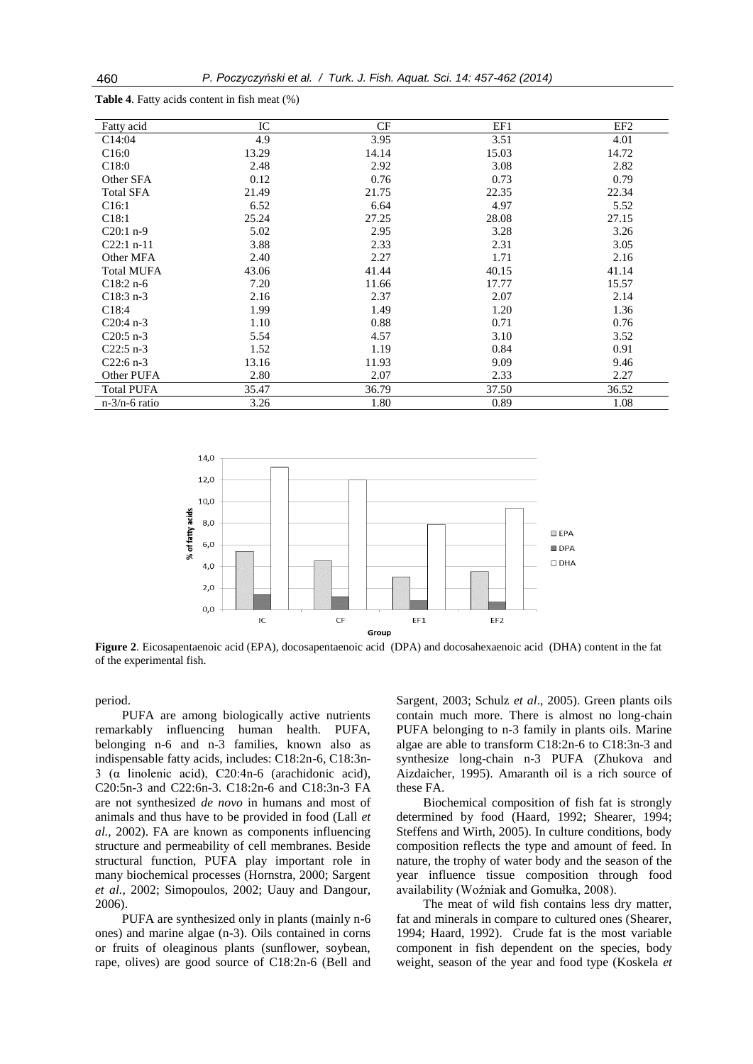| Fatty acid        | IC    | CF    | EF1   | EF <sub>2</sub> |
|-------------------|-------|-------|-------|-----------------|
| C14:04            | 4.9   | 3.95  | 3.51  | 4.01            |
| C16:0             | 13.29 | 14.14 | 15.03 | 14.72           |
| C18:0             | 2.48  | 2.92  | 3.08  | 2.82            |
| Other SFA         | 0.12  | 0.76  | 0.73  | 0.79            |
| <b>Total SFA</b>  | 21.49 | 21.75 | 22.35 | 22.34           |
| C16:1             | 6.52  | 6.64  | 4.97  | 5.52            |
| C18:1             | 25.24 | 27.25 | 28.08 | 27.15           |
| $C20:1 n-9$       | 5.02  | 2.95  | 3.28  | 3.26            |
| $C22:1 n-11$      | 3.88  | 2.33  | 2.31  | 3.05            |
| Other MFA         | 2.40  | 2.27  | 1.71  | 2.16            |
| <b>Total MUFA</b> | 43.06 | 41.44 | 40.15 | 41.14           |
| $C18:2 n-6$       | 7.20  | 11.66 | 17.77 | 15.57           |
| $C18:3 n-3$       | 2.16  | 2.37  | 2.07  | 2.14            |
| C18:4             | 1.99  | 1.49  | 1.20  | 1.36            |
| $C20:4 n-3$       | 1.10  | 0.88  | 0.71  | 0.76            |
| $C20:5$ n-3       | 5.54  | 4.57  | 3.10  | 3.52            |
| $C22:5 n-3$       | 1.52  | 1.19  | 0.84  | 0.91            |
| $C22:6 n-3$       | 13.16 | 11.93 | 9.09  | 9.46            |
| Other PUFA        | 2.80  | 2.07  | 2.33  | 2.27            |
| <b>Total PUFA</b> | 35.47 | 36.79 | 37.50 | 36.52           |
| $n-3/n-6$ ratio   | 3.26  | 1.80  | 0.89  | 1.08            |

**Table 4**. Fatty acids content in fish meat (%)



**Figure 2**. Eicosapentaenoic acid (EPA), docosapentaenoic acid (DPA) and docosahexaenoic acid (DHA) content in the fat of the experimental fish.

period.

PUFA are among biologically active nutrients remarkably influencing human health. PUFA, belonging n-6 and n-3 families, known also as indispensable fatty acids, includes: C18:2n-6, C18:3n-3 (α linolenic acid), C20:4n-6 (arachidonic acid), C20:5n-3 and C22:6n-3. C18:2n-6 and C18:3n-3 FA are not synthesized *de novo* in humans and most of animals and thus have to be provided in food (Lall *et al.*, 2002). FA are known as components influencing structure and permeability of cell membranes. Beside structural function, PUFA play important role in many biochemical processes (Hornstra, 2000; Sargent *et al.*, 2002; Simopoulos, 2002; Uauy and Dangour, 2006).

PUFA are synthesized only in plants (mainly n-6 ones) and marine algae (n-3). Oils contained in corns or fruits of oleaginous plants (sunflower, soybean, rape, olives) are good source of C18:2n-6 (Bell and

Sargent, 2003; Schulz *et al*., 2005). Green plants oils contain much more. There is almost no long-chain PUFA belonging to n-3 family in plants oils. Marine algae are able to transform C18:2n-6 to C18:3n-3 and synthesize long-chain n-3 PUFA (Zhukova and Aizdaicher, 1995). Amaranth oil is a rich source of these FA.

Biochemical composition of fish fat is strongly determined by food (Haard, 1992; Shearer, 1994; Steffens and Wirth, 2005). In culture conditions, body composition reflects the type and amount of feed. In nature, the trophy of water body and the season of the year influence tissue composition through food availability (Woźniak and Gomułka, 2008).

The meat of wild fish contains less dry matter, fat and minerals in compare to cultured ones (Shearer, 1994; Haard, 1992). Crude fat is the most variable component in fish dependent on the species, body weight, season of the year and food type (Koskela *et*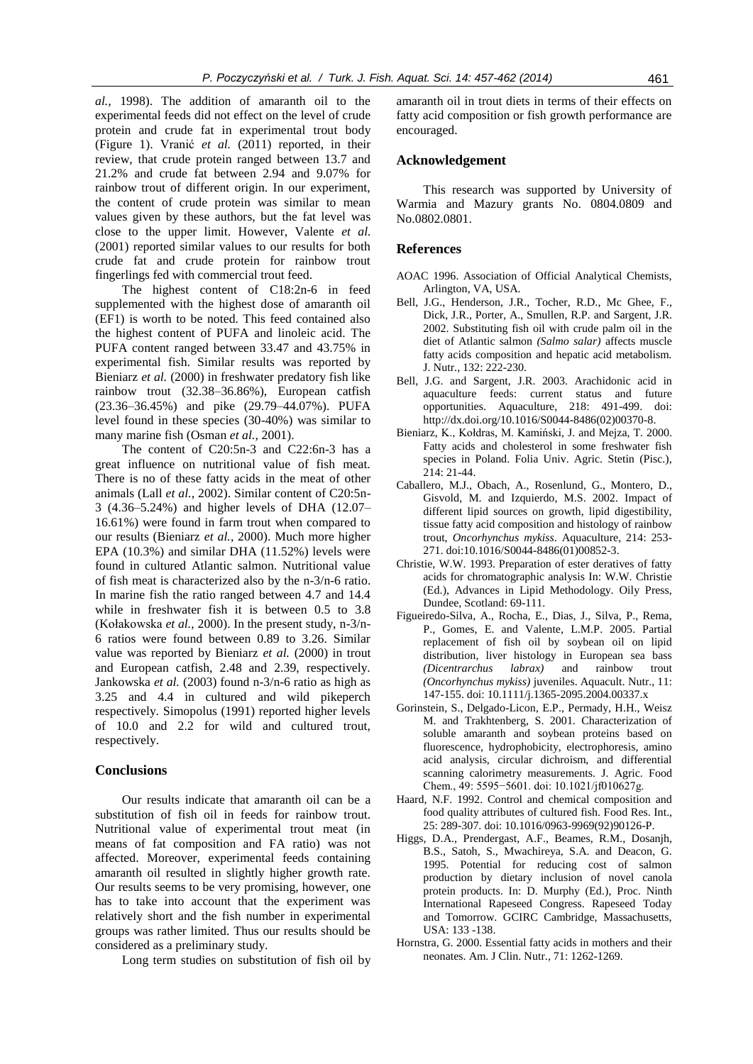*al.*, 1998). The addition of amaranth oil to the experimental feeds did not effect on the level of crude protein and crude fat in experimental trout body (Figure 1). Vranić *et al.* (2011) reported, in their review, that crude protein ranged between 13.7 and 21.2% and crude fat between 2.94 and 9.07% for rainbow trout of different origin. In our experiment, the content of crude protein was similar to mean values given by these authors, but the fat level was close to the upper limit. However, Valente *et al.* (2001) reported similar values to our results for both crude fat and crude protein for rainbow trout fingerlings fed with commercial trout feed.

The highest content of C18:2n-6 in feed supplemented with the highest dose of amaranth oil (EF1) is worth to be noted. This feed contained also the highest content of PUFA and linoleic acid. The PUFA content ranged between 33.47 and 43.75% in experimental fish. Similar results was reported by Bieniarz *et al.* (2000) in freshwater predatory fish like rainbow trout (32.38–36.86%), European catfish (23.36–36.45%) and pike (29.79–44.07%). PUFA level found in these species (30-40%) was similar to many marine fish (Osman *et al.*, 2001).

The content of C20:5n-3 and C22:6n-3 has a great influence on nutritional value of fish meat. There is no of these fatty acids in the meat of other animals (Lall *et al.*, 2002). Similar content of C20:5n-3 (4.36–5.24%) and higher levels of DHA (12.07– 16.61%) were found in farm trout when compared to our results (Bieniarz *et al.*, 2000). Much more higher EPA (10.3%) and similar DHA (11.52%) levels were found in cultured Atlantic salmon. Nutritional value of fish meat is characterized also by the n-3/n-6 ratio. In marine fish the ratio ranged between 4.7 and 14.4 while in freshwater fish it is between 0.5 to 3.8 (Kołakowska *et al.*, 2000). In the present study, n-3/n-6 ratios were found between 0.89 to 3.26. Similar value was reported by Bieniarz *et al.* (2000) in trout and European catfish, 2.48 and 2.39, respectively. Jankowska *et al.* (2003) found n-3/n-6 ratio as high as 3.25 and 4.4 in cultured and wild pikeperch respectively. Simopolus (1991) reported higher levels of 10.0 and 2.2 for wild and cultured trout, respectively.

## **Conclusions**

Our results indicate that amaranth oil can be a substitution of fish oil in feeds for rainbow trout. Nutritional value of experimental trout meat (in means of fat composition and FA ratio) was not affected. Moreover, experimental feeds containing amaranth oil resulted in slightly higher growth rate. Our results seems to be very promising, however, one has to take into account that the experiment was relatively short and the fish number in experimental groups was rather limited. Thus our results should be considered as a preliminary study.

Long term studies on substitution of fish oil by

amaranth oil in trout diets in terms of their effects on fatty acid composition or fish growth performance are encouraged.

# **Acknowledgement**

This research was supported by University of Warmia and Mazury grants No. 0804.0809 and No.0802.0801.

## **References**

- AOAC 1996. Association of Official Analytical Chemists, Arlington, VA, USA.
- Bell, J.G., Henderson, J.R., Tocher, R.D., Mc Ghee, F., Dick, J.R., Porter, A., Smullen, R.P. and Sargent, J.R. 2002. Substituting fish oil with crude palm oil in the diet of Atlantic salmon *(Salmo salar)* affects muscle fatty acids composition and hepatic acid metabolism. J. Nutr., 132: 222-230.
- Bell, J.G. and Sargent, J.R. 2003. Arachidonic acid in aquaculture feeds: current status and future opportunities. Aquaculture, 218: 491-499. doi: http://dx.doi.org/10.1016/S0044-8486(02)00370-8.
- Bieniarz, K., Kołdras, M. Kamiński, J. and Mejza, T. 2000. Fatty acids and cholesterol in some freshwater fish species in Poland. Folia Univ. Agric. Stetin (Pisc.), 214: 21-44.
- Caballero, M.J., Obach, A., Rosenlund, G., Montero, D., Gisvold, M. and Izquierdo, M.S. 2002. Impact of different lipid sources on growth, lipid digestibility, tissue fatty acid composition and histology of rainbow trout, *Oncorhynchus mykiss*. Aquaculture, 214: 253- 271. doi:10.1016/S0044-8486(01)00852-3.
- Christie, W.W. 1993. Preparation of ester deratives of fatty acids for chromatographic analysis In: W.W. Christie (Ed.), Advances in Lipid Methodology. Oily Press, Dundee, Scotland: 69-111.
- Figueiredo-Silva, A., Rocha, E., Dias, J., Silva, P., Rema, P., Gomes, E. and Valente, L.M.P. 2005. Partial replacement of fish oil by soybean oil on lipid distribution, liver histology in European sea bass *(Dicentrarchus labrax)* and rainbow trout *(Oncorhynchus mykiss)* juveniles. Aquacult. Nutr., 11: 147-155. doi: 10.1111/j.1365-2095.2004.00337.x
- Gorinstein, S., Delgado-Licon, E.P., Permady, H.H., Weisz M. and Trakhtenberg, S. 2001. Characterization of soluble amaranth and soybean proteins based on fluorescence, hydrophobicity, electrophoresis, amino acid analysis, circular dichroism, and differential scanning calorimetry measurements. J. Agric. Food Chem., 49: 5595−5601. doi: 10.1021/jf010627g.
- Haard, N.F. 1992. Control and chemical composition and food quality attributes of cultured fish. Food Res. Int., 25: 289-307. doi: 10.1016/0963-9969(92)90126-P.
- Higgs, D.A., Prendergast, A.F., Beames, R.M., Dosanjh, B.S., Satoh, S., Mwachireya, S.A. and Deacon, G. 1995. Potential for reducing cost of salmon production by dietary inclusion of novel canola protein products. In: D. Murphy (Ed.), Proc. Ninth International Rapeseed Congress. Rapeseed Today and Tomorrow. GCIRC Cambridge, Massachusetts, USA: 133 -138.
- Hornstra, G. 2000. Essential fatty acids in mothers and their neonates. Am. J Clin. Nutr., 71: 1262-1269.